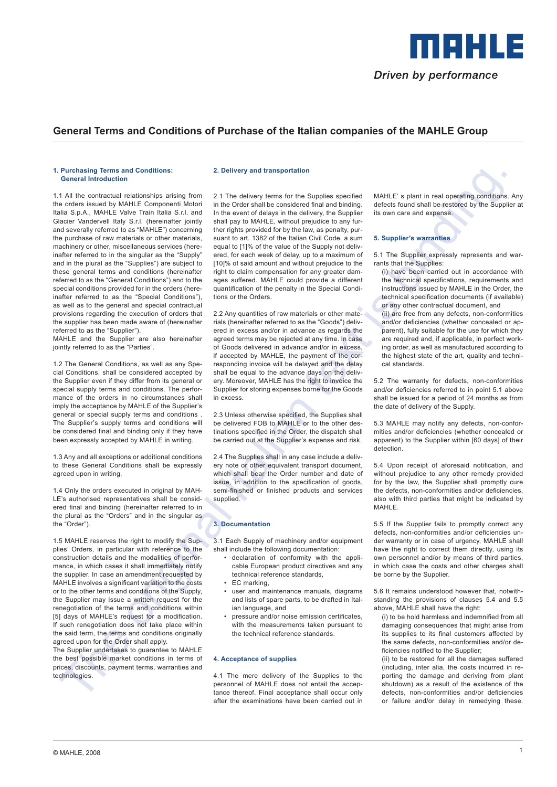

# **General Terms and Conditions of Purchase of the Italian companies of the MAHLE Group**

#### **1. Purchasing Terms and Conditions: General Introduction**

**Probability the set of continue the main specific text is binding in the set of the set of the set of the set of the set of the set of the set of the set of the set of the set of the set of the set of the set of the set** 1.1 All the contractual relationships arising from the orders issued by MAHLE Componenti Motori Italia S.p.A., MAHLE Valve Train Italia S.r.l. and Glacier Vandervell Italy S.r.l. (hereinafter jointly and severally referred to as "MAHLE") concerning the purchase of raw materials or other materials, machinery or other, miscellaneous services (hereinafter referred to in the singular as the "Supply" and in the plural as the "Supplies") are subject to these general terms and conditions (hereinafter referred to as the "General Conditions") and to the special conditions provided for in the orders (hereinafter referred to as the "Special Conditions"), as well as to the general and special contractual provisions regarding the execution of orders that the supplier has been made aware of (hereinafter referred to as the "Supplier").

MAHLE and the Supplier are also hereinafter jointly referred to as the "Parties".

1.2 The General Conditions, as well as any Special Conditions, shall be considered accepted by the Supplier even if they differ from its general or special supply terms and conditions. The performance of the orders in no circumstances shall imply the acceptance by MAHLE of the Supplier's general or special supply terms and conditions . The Supplier's supply terms and conditions will be considered final and binding only if they have been expressly accepted by MAHLE in writing.

1.3 Any and all exceptions or additional conditions to these General Conditions shall be expressly agreed upon in writing.

1.4 Only the orders executed in original by MAH-LE's authorised representatives shall be considered final and binding (hereinafter referred to in the plural as the "Orders" and in the singular as the "Order").

1.5 MAHLE reserves the right to modify the Supplies' Orders, in particular with reference to the construction details and the modalities of performance, in which cases it shall immediately notify the supplier. In case an amendment requested by MAHLE involves a significant variation to the costs or to the other terms and conditions of the Supply, the Supplier may issue a written request for the renegotiation of the terms and conditions within [5] days of MAHLE's request for a modification. If such renegotiation does not take place within the said term, the terms and conditions originally agreed upon for the Order shall apply.

The Supplier undertakes to guarantee to MAHLE the best possible market conditions in terms of prices, discounts, payment terms, warranties and technologies.

#### **2. Delivery and transportation**

2.1 The delivery terms for the Supplies specified in the Order shall be considered final and binding. In the event of delays in the delivery, the Supplier shall pay to MAHLE, without prejudice to any further rights provided for by the law, as penalty, pursuant to art. 1382 of the Italian Civil Code, a sum equal to [1]% of the value of the Supply not delivered, for each week of delay, up to a maximum of [10]% of said amount and without prejudice to the right to claim compensation for any greater damages suffered. MAHLE could provide a different quantification of the penalty in the Special Conditions or the Orders.

2.2 Any quantities of raw materials or other materials (hereinafter referred to as the "Goods") delivered in excess and/or in advance as regards the agreed terms may be rejected at any time. In case of Goods delivered in advance and/or in excess, if accepted by MAHLE, the payment of the corresponding invoice will be delayed and the delay shall be equal to the advance days on the delivery. Moreover, MAHLE has the right to invoice the Supplier for storing expenses borne for the Goods in excess.

2.3 Unless otherwise specified, the Supplies shall be delivered FOB to MAHLE or to the other destinations specified in the Order, the dispatch shall be carried out at the Supplier's expense and risk.

2.4 The Supplies shall in any case include a delivery note or other equivalent transport document, which shall bear the Order number and date of issue, in addition to the specification of goods, semi-finished or finished products and services supplied.

## **3. Documentation**

3.1 Each Supply of machinery and/or equipment shall include the following documentation:

- declaration of conformity with the applicable European product directives and any technical reference standards,
- EC marking,
- user and maintenance manuals, diagrams and lists of spare parts, to be drafted in Italian language, and
- pressure and/or noise emission certificates, with the measurements taken pursuant to the technical reference standards.

### **4. Acceptance of supplies**

4.1 The mere delivery of the Supplies to the personnel of MAHLE does not entail the acceptance thereof. Final acceptance shall occur only after the examinations have been carried out in MAHLE' s plant in real operating conditions. Any defects found shall be restored by the Supplier at its own care and expense.

#### **5. Supplier's warranties**

5.1 The Supplier expressly represents and warrants that the Supplies:

- (i) have been carried out in accordance with the technical specifications, requirements and instructions issued by MAHLE in the Order, the technical specification documents (if available) or any other contractual document, and
- (ii) are free from any defects, non-conformities and/or deficiencies (whether concealed or apparent), fully suitable for the use for which they are required and, if applicable, in perfect working order, as well as manufactured according to the highest state of the art, quality and technical standards.

5.2 The warranty for defects, non-conformities and/or deficiencies referred to in point 5.1 above shall be issued for a period of 24 months as from the date of delivery of the Supply.

5.3 MAHLE may notify any defects, non-conformities and/or deficiencies (whether concealed or apparent) to the Supplier within [60 days] of their detection.

5.4 Upon receipt of aforesaid notification, and without prejudice to any other remedy provided for by the law, the Supplier shall promptly cure the defects, non-conformities and/or deficiencies, also with third parties that might be indicated by MAHLE.

5.5 If the Supplier fails to promptly correct any defects, non-conformities and/or deficiencies under warranty or in case of urgency, MAHLE shall have the right to correct them directly, using its own personnel and/or by means of third parties, in which case the costs and other charges shall be borne by the Supplier.

5.6 It remains understood however that, notwithstanding the provisions of clauses 5.4 and 5.5 above, MAHLE shall have the right:

(i) to be hold harmless and indemnified from all damaging consequences that might arise from its supplies to its final customers affected by the same defects, non-conformities and/or deficiencies notified to the Supplier;

(ii) to be restored for all the damages suffered (including, inter alia, the costs incurred in reporting the damage and deriving from plant shutdown) as a result of the existence of the defects, non-conformities and/or deficiencies or failure and/or delay in remedying these.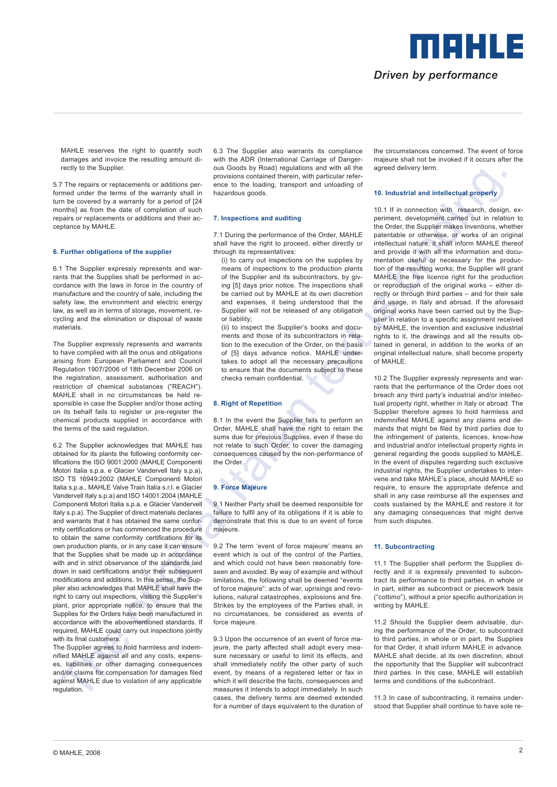

MAHLE reserves the right to quantify such damages and invoice the resulting amount directly to the Supplier.

5.7 The repairs or replacements or additions performed under the terms of the warranty shall in turn be covered by a warranty for a period of [24 months] as from the date of completion of such repairs or replacements or additions and their acceptance by MAHLE.

#### **6. Further obligations of the supplier**

6.1 The Supplier expressly represents and warrants that the Supplies shall be performed in accordance with the laws in force in the country of manufacture and the country of sale, including the safety law, the environment and electric energy law, as well as in terms of storage, movement, recycling and the elimination or disposal of waste materials.

The Supplier expressly represents and warrants to have complied with all the onus and obligations arising from European Parliament and Council Regulation 1907/2006 of 18th December 2006 on the registration, assessment, authorisation and restriction of chemical substances ("REACH"). MAHLE shall in no circumstances be held responsible in case the Supplier and/or those acting on its behalf fails to register or pre-register the chemical products supplied in accordance with the terms of the said regulation.

The second system is a complete the system of the control and the second system into the second system into the system into the system into the system into the system into the system into the system into the system into t 6.2 The Supplier acknowledges that MAHLE has obtained for its plants the following conformity certifications the ISO 9001:2000 (MAHLE Componenti Motori Italia s.p.a. e Glacier Vandervell Italy s.p.a), ISO TS 16949:2002 (MAHLE Componenti Motori Italia s.p.a., MAHLE Valve Train Italia s.r.l. e Glacier Vandervell Italy s.p.a) and ISO 14001:2004 (MAHLE Componenti Motori Italia s.p.a. e Glacier Vandervell Italy s.p.a). The Supplier of direct materials declares and warrants that it has obtained the same conformity certifications or has commenced the procedure to obtain the same conformity certifications for its own production plants, or in any case it can ensure that the Supplies shall be made up in accordance with and in strict observance of the standards laid down in said certifications and/or their subsequent modifications and additions. In this sense, the Supplier also acknowledges that MAHLE shall have the right to carry out inspections, visiting the Supplier's plant, prior appropriate notice, to ensure that the Supplies for the Orders have been manufactured in accordance with the abovementioned standards. If required, MAHLE could carry out inspections jointly with its final customers.

The Supplier agrees to hold harmless and indemnified MAHLE against all and any costs, expenses, liabilities or other damaging consequences and/or claims for compensation for damages filed against MAHLE due to violation of any applicable regulation.

6.3 The Supplier also warrants its compliance with the ADR (International Carriage of Dangerous Goods by Road) regulations and with all the provisions contained therein, with particular reference to the loading, transport and unloading of hazardous goods.

#### **7. Inspections and auditing**

7.1 During the performance of the Order, MAHLE shall have the right to proceed, either directly or through its representatives:

(i) to carry out inspections on the supplies by means of inspections to the production plants of the Supplier and its subcontractors, by giving [5] days prior notice. The inspections shall be carried out by MAHLE at its own discretion and expenses, it being understood that the Supplier will not be released of any obligation or liability;

(ii) to inspect the Supplier's books and documents and those of its subcontractors in relation to the execution of the Order, on the basis of [5] days advance notice. MAHLE undertakes to adopt all the necessary precautions to ensure that the documents subject to these checks remain confidential.

### **8. Right of Repetition**

8.1 In the event the Supplier fails to perform an Order, MAHLE shall have the right to retain the sums due for previous Supplies, even if these do not relate to such Order, to cover the damaging consequences caused by the non-performance of the Order.

#### **9. Force Majeure**

9.1 Neither Party shall be deemed responsible for failure to fulfil any of its obligations if it is able to demonstrate that this is due to an event of force majeure.

9.2 The term 'event of force majeure' means an event which is out of the control of the Parties. and which could not have been reasonably foreseen and avoided. By way of example and without limitations, the following shall be deemed "events of force majeure": acts of war, uprisings and revolutions, natural catastrophes, explosions and fire. Strikes by the employees of the Parties shall, in no circumstances, be considered as events of force majeure.

9.3 Upon the occurrence of an event of force majeure, the party affected shall adopt every measure necessary or useful to limit its effects, and shall immediately notify the other party of such event, by means of a registered letter or fax in which it will describe the facts, consequences and measures it intends to adopt immediately. In such cases, the delivery terms are deemed extended for a number of days equivalent to the duration of the circumstances concerned. The event of force majeure shall not be invoked if it occurs after the agreed delivery term.

#### **10. Industrial and intellectual property**

10.1 If in connection with research, design, experiment, development carried out in relation to the Order, the Supplier makes inventions, whether patentable or otherwise, or works of an original intellectual nature, it shall inform MAHLE thereof and provide it with all the information and documentation useful or necessary for the production of the resulting works; the Supplier will grant MAHLE the free licence right for the production or reproduction of the original works – either directly or through third parties – and for their sale and usage, in Italy and abroad. If the aforesaid original works have been carried out by the Supplier in relation to a specific assignment received by MAHLE, the invention and exclusive industrial rights to it, the drawings and all the results obtained in general, in addition to the works of an original intellectual nature, shall become property of MAHLE.

10.2 The Supplier expressly represents and warrants that the performance of the Order does not breach any third party's industrial and/or intellectual property right, whether in Italy or abroad. The Supplier therefore agrees to hold harmless and indemnified MAHLE against any claims and demands that might be filed by third parties due to the infringement of patents, licences, know-how and industrial and/or intellectual property rights in general regarding the goods supplied to MAHLE. In the event of disputes regarding such exclusive industrial rights, the Supplier undertakes to intervene and take MAHLE's place, should MAHLE so require, to ensure the appropriate defence and shall in any case reimburse all the expenses and costs sustained by the MAHLE and restore it for any damaging consequences that might derive from such disputes.

#### **11. Subcontracting**

11.1 The Supplier shall perform the Supplies directly and it is expressly prevented to subcontract its performance to third parties, in whole or in part, either as subcontract or piecework basis ("cottimo"), without a prior specific authorization in writing by MAHLE.

11.2 Should the Supplier deem advisable, during the performance of the Order, to subcontract to third parties, in whole or in part, the Supplies for that Order, it shall inform MAHLE in advance. MAHLE shall decide, at its own discretion, about the opportunity that the Supplier will subcontract third parties. In this case, MAHLE will establish terms and conditions of the subcontract.

11.3 In case of subcontracting, it remains understood that Supplier shall continue to have sole re-